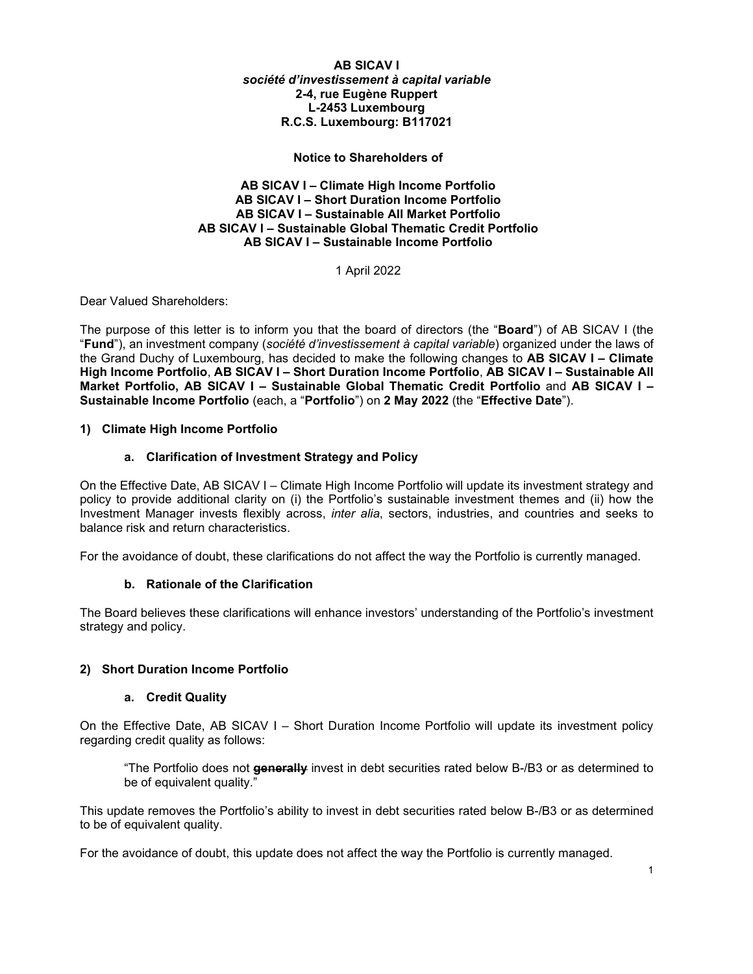**AB SICAV I** *société d'investissement à capital variable*  **2-4, rue Eugène Ruppert L-2453 Luxembourg R.C.S. Luxembourg: B117021**

**Notice to Shareholders of**

**AB SICAV I – Climate High Income Portfolio AB SICAV I – Short Duration Income Portfolio AB SICAV I – Sustainable All Market Portfolio AB SICAV I – Sustainable Global Thematic Credit Portfolio AB SICAV I – Sustainable Income Portfolio**

1 April 2022

Dear Valued Shareholders:

The purpose of this letter is to inform you that the board of directors (the "**Board**") of AB SICAV I (the "**Fund**"), an investment company (*société d'investissement à capital variable*) organized under the laws of the Grand Duchy of Luxembourg, has decided to make the following changes to **AB SICAV I – Climate High Income Portfolio**, **AB SICAV I – Short Duration Income Portfolio**, **AB SICAV I – Sustainable All Market Portfolio, AB SICAV I – Sustainable Global Thematic Credit Portfolio** and **AB SICAV I – Sustainable Income Portfolio** (each, a "**Portfolio**") on **2 May 2022** (the "**Effective Date**").

# **1) Climate High Income Portfolio**

# **a. Clarification of Investment Strategy and Policy**

On the Effective Date, AB SICAV I – Climate High Income Portfolio will update its investment strategy and policy to provide additional clarity on (i) the Portfolio's sustainable investment themes and (ii) how the Investment Manager invests flexibly across, *inter alia*, sectors, industries, and countries and seeks to balance risk and return characteristics.

For the avoidance of doubt, these clarifications do not affect the way the Portfolio is currently managed.

#### **b. Rationale of the Clarification**

The Board believes these clarifications will enhance investors' understanding of the Portfolio's investment strategy and policy.

#### **2) Short Duration Income Portfolio**

#### **a. Credit Quality**

On the Effective Date, AB SICAV I – Short Duration Income Portfolio will update its investment policy regarding credit quality as follows:

"The Portfolio does not **generally** invest in debt securities rated below B-/B3 or as determined to be of equivalent quality."

This update removes the Portfolio's ability to invest in debt securities rated below B-/B3 or as determined to be of equivalent quality.

For the avoidance of doubt, this update does not affect the way the Portfolio is currently managed.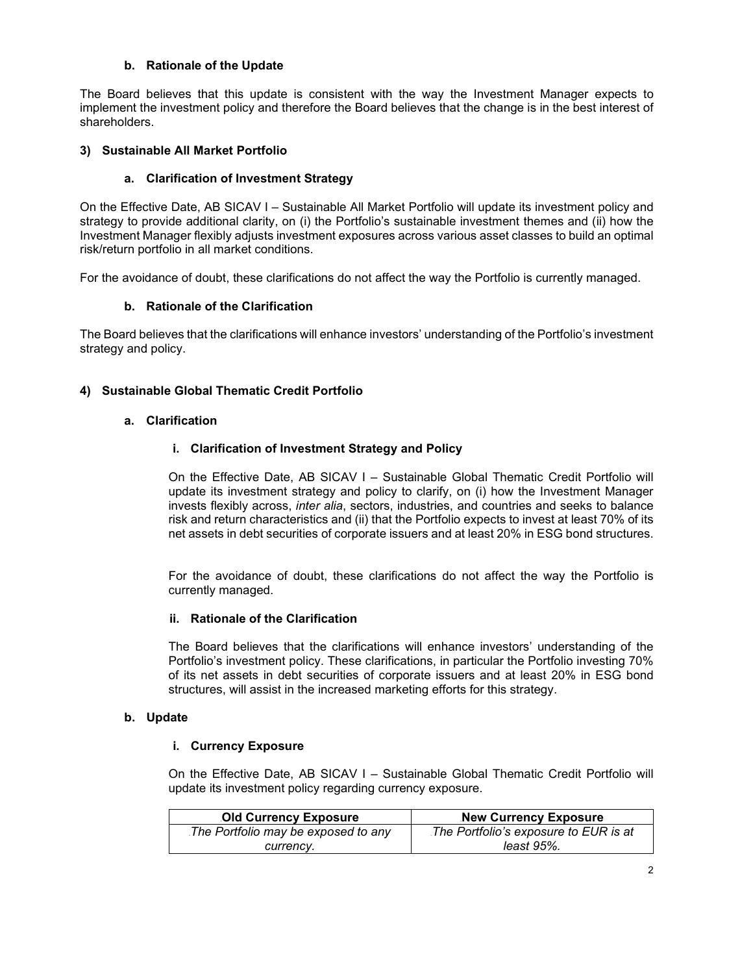### **b. Rationale of the Update**

The Board believes that this update is consistent with the way the Investment Manager expects to implement the investment policy and therefore the Board believes that the change is in the best interest of shareholders.

# **3) Sustainable All Market Portfolio**

# **a. Clarification of Investment Strategy**

On the Effective Date, AB SICAV I – Sustainable All Market Portfolio will update its investment policy and strategy to provide additional clarity, on (i) the Portfolio's sustainable investment themes and (ii) how the Investment Manager flexibly adjusts investment exposures across various asset classes to build an optimal risk/return portfolio in all market conditions.

For the avoidance of doubt, these clarifications do not affect the way the Portfolio is currently managed.

# **b. Rationale of the Clarification**

The Board believes that the clarifications will enhance investors' understanding of the Portfolio's investment strategy and policy.

# **4) Sustainable Global Thematic Credit Portfolio**

#### **a. Clarification**

# **i. Clarification of Investment Strategy and Policy**

On the Effective Date, AB SICAV I – Sustainable Global Thematic Credit Portfolio will update its investment strategy and policy to clarify, on (i) how the Investment Manager invests flexibly across, *inter alia*, sectors, industries, and countries and seeks to balance risk and return characteristics and (ii) that the Portfolio expects to invest at least 70% of its net assets in debt securities of corporate issuers and at least 20% in ESG bond structures.

For the avoidance of doubt, these clarifications do not affect the way the Portfolio is currently managed.

# **ii. Rationale of the Clarification**

The Board believes that the clarifications will enhance investors' understanding of the Portfolio's investment policy. These clarifications, in particular the Portfolio investing 70% of its net assets in debt securities of corporate issuers and at least 20% in ESG bond structures, will assist in the increased marketing efforts for this strategy.

# **b. Update**

### **i. Currency Exposure**

On the Effective Date, AB SICAV I – Sustainable Global Thematic Credit Portfolio will update its investment policy regarding currency exposure.

| <b>Old Currency Exposure</b>        | <b>New Currency Exposure</b>          |
|-------------------------------------|---------------------------------------|
| The Portfolio may be exposed to any | The Portfolio's exposure to EUR is at |
| currency.                           | least 95%.                            |